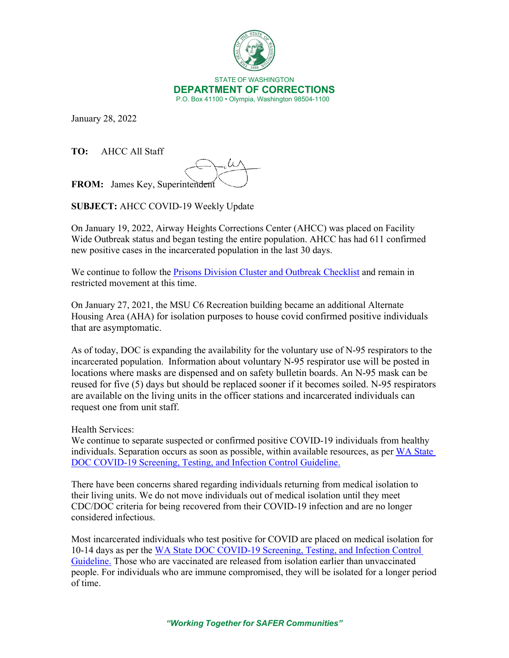

January 28, 2022

**TO:** AHCC All Staff

**FROM:** James Key, Superintendent

**SUBJECT:** AHCC COVID-19 Weekly Update

On January 19, 2022, Airway Heights Corrections Center (AHCC) was placed on Facility Wide Outbreak status and began testing the entire population. AHCC has had 611 confirmed new positive cases in the incarcerated population in the last 30 days.

We continue to follow the [Prisons Division Cluster and Outbreak Checklist](https://doc.wa.gov/corrections/covid-19/docs/outbreak-checklist.pdf) and remain in restricted movement at this time.

On January 27, 2021, the MSU C6 Recreation building became an additional Alternate Housing Area (AHA) for isolation purposes to house covid confirmed positive individuals that are asymptomatic.

As of today, DOC is expanding the availability for the voluntary use of N-95 respirators to the incarcerated population. Information about voluntary N-95 respirator use will be posted in locations where masks are dispensed and on safety bulletin boards. An N-95 mask can be reused for five (5) days but should be replaced sooner if it becomes soiled. N-95 respirators are available on the living units in the officer stations and incarcerated individuals can request one from unit staff.

Health Services:

We continue to separate suspected or confirmed positive COVID-19 individuals from healthy individuals. Separation occurs as soon as possible, within available resources, as per WA State [DOC COVID-19 Screening, Testing, and Infection Control Guideline.](https://gcc02.safelinks.protection.outlook.com/?url=https%3A%2F%2Fwww.doc.wa.gov%2Fcorrections%2Fcovid-19%2Fdocs%2Fscreening-testing-infection-control-guideline.pdf&data=04%7C01%7Csmbiller%40DOC1.WA.GOV%7C4bea03b8c8ac45d3bd7508d9e299f0c7%7C11d0e217264e400a8ba057dcc127d72d%7C0%7C0%7C637789973069176371%7CUnknown%7CTWFpbGZsb3d8eyJWIjoiMC4wLjAwMDAiLCJQIjoiV2luMzIiLCJBTiI6Ik1haWwiLCJXVCI6Mn0%3D%7C3000&sdata=76Vcus5ea9rGpL8ctCgNop39TpXywX7b5AB8egPgQ8o%3D&reserved=0)

There have been concerns shared regarding individuals returning from medical isolation to their living units. We do not move individuals out of medical isolation until they meet CDC/DOC criteria for being recovered from their COVID-19 infection and are no longer considered infectious.

Most incarcerated individuals who test positive for COVID are placed on medical isolation for 10-14 days as per the [WA State DOC COVID-19 Screening, Testing, and Infection Control](https://gcc02.safelinks.protection.outlook.com/?url=https%3A%2F%2Fwww.doc.wa.gov%2Fcorrections%2Fcovid-19%2Fdocs%2Fscreening-testing-infection-control-guideline.pdf&data=04%7C01%7Csmbiller%40DOC1.WA.GOV%7C4bea03b8c8ac45d3bd7508d9e299f0c7%7C11d0e217264e400a8ba057dcc127d72d%7C0%7C0%7C637789973069176371%7CUnknown%7CTWFpbGZsb3d8eyJWIjoiMC4wLjAwMDAiLCJQIjoiV2luMzIiLCJBTiI6Ik1haWwiLCJXVCI6Mn0%3D%7C3000&sdata=76Vcus5ea9rGpL8ctCgNop39TpXywX7b5AB8egPgQ8o%3D&reserved=0)  [Guideline.](https://gcc02.safelinks.protection.outlook.com/?url=https%3A%2F%2Fwww.doc.wa.gov%2Fcorrections%2Fcovid-19%2Fdocs%2Fscreening-testing-infection-control-guideline.pdf&data=04%7C01%7Csmbiller%40DOC1.WA.GOV%7C4bea03b8c8ac45d3bd7508d9e299f0c7%7C11d0e217264e400a8ba057dcc127d72d%7C0%7C0%7C637789973069176371%7CUnknown%7CTWFpbGZsb3d8eyJWIjoiMC4wLjAwMDAiLCJQIjoiV2luMzIiLCJBTiI6Ik1haWwiLCJXVCI6Mn0%3D%7C3000&sdata=76Vcus5ea9rGpL8ctCgNop39TpXywX7b5AB8egPgQ8o%3D&reserved=0) Those who are vaccinated are released from isolation earlier than unvaccinated people. For individuals who are immune compromised, they will be isolated for a longer period of time.